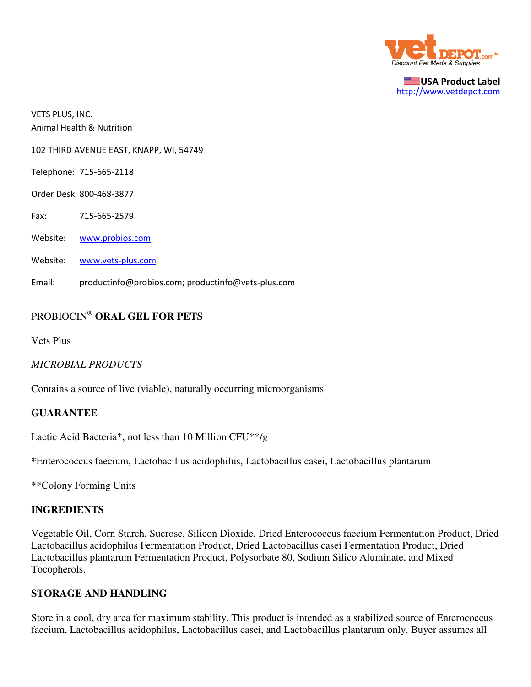

USA Product Label http://www.vetdepot.com

VETS PLUS, INC. Animal Health & Nutrition

102 THIRD AVENUE EAST, KNAPP, WI, 54749

Telephone: 715-665-2118

Order Desk: 800-468-3877

Fax: 715-665-2579

Website: www.probios.com

Website: www.vets-plus.com

Email: productinfo@probios.com; productinfo@vets-plus.com

## PROBIOCIN®  **ORAL GEL FOR PETS**

Vets Plus

#### *MICROBIAL PRODUCTS*

Contains a source of live (viable), naturally occurring microorganisms

### **GUARANTEE**

Lactic Acid Bacteria\*, not less than 10 Million CFU\*\*/g

\*Enterococcus faecium, Lactobacillus acidophilus, Lactobacillus casei, Lactobacillus plantarum

\*\*Colony Forming Units

#### **INGREDIENTS**

Vegetable Oil, Corn Starch, Sucrose, Silicon Dioxide, Dried Enterococcus faecium Fermentation Product, Dried Lactobacillus acidophilus Fermentation Product, Dried Lactobacillus casei Fermentation Product, Dried Lactobacillus plantarum Fermentation Product, Polysorbate 80, Sodium Silico Aluminate, and Mixed Tocopherols.

#### **STORAGE AND HANDLING**

Store in a cool, dry area for maximum stability. This product is intended as a stabilized source of Enterococcus faecium, Lactobacillus acidophilus, Lactobacillus casei, and Lactobacillus plantarum only. Buyer assumes all